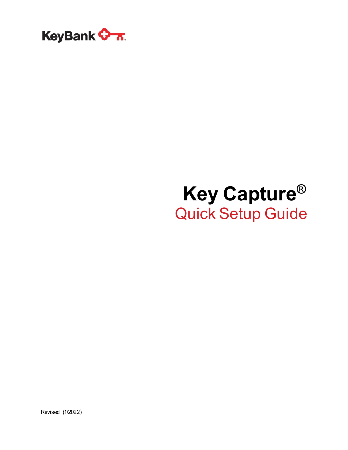

# **Key Capture®** Quick Setup Guide

Revised (1/2022)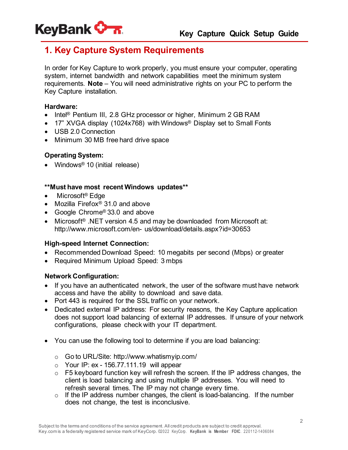

# **1. Key Capture System Requirements**

In order for Key Capture to work properly, you must ensure your computer, operating system, internet bandwidth and network capabilities meet the minimum system requirements. **Note** – You will need administrative rights on your PC to perform the Key Capture installation.

#### **Hardware:**

- Intel<sup>®</sup> Pentium III, 2.8 GHz processor or higher, Minimum 2 GB RAM
- 17" XVGA display (1024x768) with Windows<sup>®</sup> Display set to Small Fonts
- USB 2.0 Connection
- Minimum 30 MB free hard drive space

## **Operating System:**

• Windows<sup>®</sup> 10 (initial release)

#### **\*\*Must have most recent Windows updates\*\***

- Microsoft<sup>®</sup> Edge
- Mozilla Firefox® 31.0 and above
- Google Chrome® 33.0 and above
- Microsoft<sup>®</sup> .NET version 4.5 and may be downloaded from Microsoft at: <http://www.microsoft.com/en-> us/download/details.aspx?id=30653

#### **High-speed Internet Connection:**

- Recommended Download Speed: 10 megabits per second (Mbps) or greater
- Required Minimum Upload Speed: 3 mbps

## **Network Configuration:**

- If you have an authenticated network, the user of the software must have network access and have the ability to download and save data.
- Port 443 is required for the SSL traffic on your network.
- Dedicated external IP address: For security reasons, the Key Capture application does not support load balancing of external IP addresses. If unsure of your network configurations, please check with your IT department.
- You can use the following tool to determine if you are load balancing:
	- o Go to URL/Site: <http://www.whatismyip.com/>
	- $\circ$  Your IP: ex 156.77.111.19 will appear
	- o F5 keyboard function key will refresh the screen. If the IP address changes, the client is load balancing and using multiple IP addresses. You will need to refresh several times. The IP may not change every time.
	- $\circ$  If the IP address number changes, the client is load-balancing. If the number does not change, the test is inconclusive.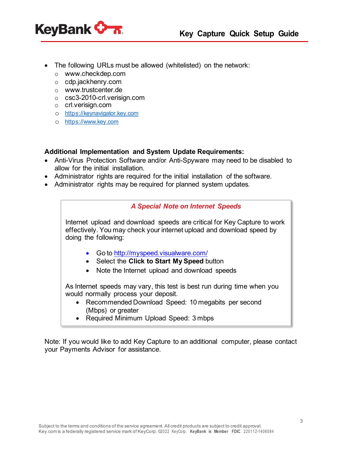



- The following URLs must be allowed (whitelisted) on the network:
	- o [www.checkdep.com](http://www.checkdep.com/)
	- o cdp.jackhenry.com
	- o [www.trustcenter.de](http://www.trustcenter.de/)
	- o csc3-2010-crl.verisign.com
	- o crl.verisign.com
	- o [https://keynavigator.key.com](https://keynavigator.key.com/)
	- o [https://www.key.com](https://www.key.com/)

## **Additional Implementation and System Update Requirements:**

- Anti-Virus Protection Software and/or Anti-Spyware may need to be disabled to allow for the initial installation.
- Administrator rights are required for the initial installation of the software.
- Administrator rights may be required for planned system updates.

## *A Special Note on Internet Speeds*

Internet upload and download speeds are critical for Key Capture to work effectively. You may check your internet upload and download speed by doing the following:

- Go to <http://myspeed.visualware.com/>
- Select the **Click to Start My Speed** button
- Note the Internet upload and download speeds

As Internet speeds may vary, this test is best run during time when you would normally process your deposit.

- Recommended Download Speed: 10 megabits per second (Mbps) or greater
- Required Minimum Upload Speed: 3 mbps

Note: If you would like to add Key Capture to an additional computer, please contact your Payments Advisor for assistance.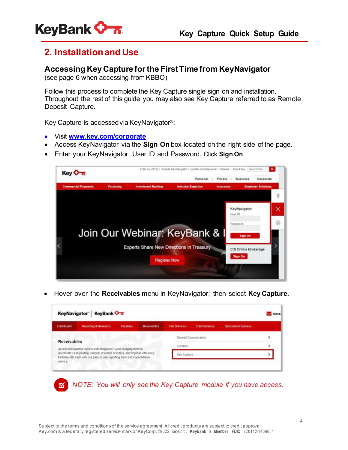

## **2. Installationand Use**

## **Accessing Key Capture forthe FirstTime from KeyNavigator**

(see page 6 when accessing from KBBO)

Follow this process to complete the Key Capture single sign on and installation. Throughout the rest of this guide you may also see Key Capture referred to as Remote Deposit Capture.

Key Capture is accessedvia KeyNavigator®:

- Visit **[www.key.com/corporate](http://www.key.com/corporate)**
- Access KeyNavigator via the **Sign On** box located on the right side of the page.
- Enter your KeyNavigator User ID and Password. Click **Sign On**.



• Hover over the **Receivables** menu in KeyNavigator; then select **Key Capture**.

| Dashboard          | Reporting & Research                                                                                                                                        | Pavables | <b>Receivables</b> | <b>File Services</b> | <b>Card Services</b>  | <b>Specialized Services</b> |  |
|--------------------|-------------------------------------------------------------------------------------------------------------------------------------------------------------|----------|--------------------|----------------------|-----------------------|-----------------------------|--|
| <b>Receivables</b> |                                                                                                                                                             |          |                    |                      | Deposit Concentration |                             |  |
|                    | Access receivables reports with integrated 7-year imaging tools to                                                                                          |          |                    | Lockbox              |                       |                             |  |
|                    | accelerate cash posting, simplify research activities, and improve efficiency.<br>Mobilize idle cash with our easy to use reporting and cash consolidation. |          |                    | Key Capture          |                       |                             |  |

*NOTE: You will only see the Key Capture module if you have access.*囨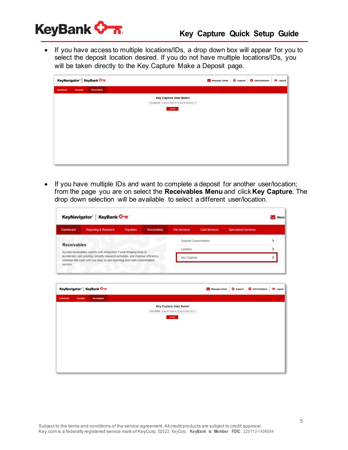

• If you have access to multiple locations/IDs, a drop down box will appear for you to select the deposit location desired. If you do not have multiple locations/IDs, you will be taken directly to the Key Capture Make a Deposit page.

| KeyNavigator <sup>®</sup> KeyBank <del>♦ ⊼</del> |             |                                                                                              | Message Center | Support <b>C</b> Administration | <b>EXP</b> Logout |
|--------------------------------------------------|-------------|----------------------------------------------------------------------------------------------|----------------|---------------------------------|-------------------|
| <b>Dashboard</b><br>Payables                     | Receivables |                                                                                              |                |                                 |                   |
|                                                  |             | <b>Key Capture User Select</b><br>DMCHEMME - D and M Chem Inc (D and M Chem Inc) ▼<br>submit |                |                                 |                   |

• If you have multiple IDs and want to complete a deposit for another user/location; from the page you are on select the **Receivables Menu** and click **Key Capture**. The drop down selection will be available to select a different user/location.

| KeyBank <b>Canada</b><br>KeyNavigator <sup>®</sup> |                                                                                                                                                                                                                                   |          |                    |                      |                       |                             |  |
|----------------------------------------------------|-----------------------------------------------------------------------------------------------------------------------------------------------------------------------------------------------------------------------------------|----------|--------------------|----------------------|-----------------------|-----------------------------|--|
| Dashboard                                          | Reporting & Research                                                                                                                                                                                                              | Payables | <b>Receivables</b> | <b>File Services</b> | <b>Card Services</b>  | <b>Specialized Services</b> |  |
|                                                    |                                                                                                                                                                                                                                   |          |                    |                      | Deposit Concentration |                             |  |
| <b>Receivables</b>                                 |                                                                                                                                                                                                                                   |          |                    | Lockbox              |                       |                             |  |
| service.                                           | Access receivables reports with integrated 7-year imaging tools to<br>accelerate cash posting, simplify research activities, and improve efficiency.<br>Mobilize idle cash with our easy to use reporting and cash consolidation. |          |                    | Key Capture          |                       |                             |  |

| KeyNavigator® KeyBank ♦ 7.                       | Message Center | Support | Administration | E Logout |
|--------------------------------------------------|----------------|---------|----------------|----------|
| Payables<br>Receivables<br><b>Dashboard</b>      |                |         |                |          |
| <b>Key Capture User Select</b>                   |                |         |                |          |
| DMCHEMME - D and M Chem Inc (D and M Chem Inc) v |                |         |                |          |
| submit                                           |                |         |                |          |
|                                                  |                |         |                |          |
|                                                  |                |         |                |          |
|                                                  |                |         |                |          |
|                                                  |                |         |                |          |
|                                                  |                |         |                |          |
|                                                  |                |         |                |          |
|                                                  |                |         |                |          |
|                                                  |                |         |                |          |
|                                                  |                |         |                |          |
|                                                  |                |         |                |          |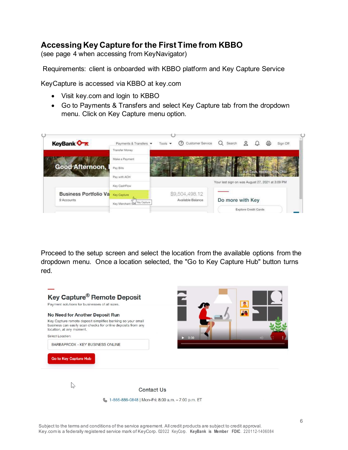## **Accessing Key Capture for the First Time from KBBO**

(see page 4 when accessing from KeyNavigator)

Requirements: client is onboarded with KBBO platform and Key Capture Service

KeyCapture is accessed via KBBO at key.com

- Visit key.com and login to KBBO
- Go to Payments & Transfers and select Key Capture tab from the dropdown menu. Click on Key Capture menu option.



Proceed to the setup screen and select the location from the available options from the dropdown menu. Once a location selected, the "Go to Key Capture Hub" button turns red.

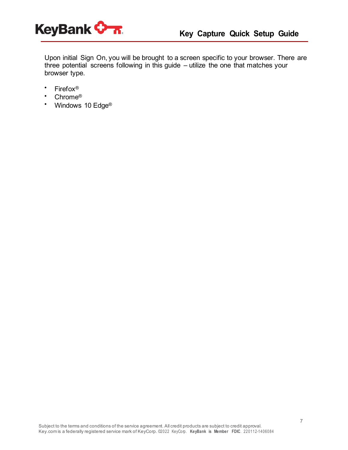

Upon initial Sign On, you will be brought to a screen specific to your browser. There are three potential screens following in this guide – utilize the one that matches your browser type.

- Firefox®
- Chrome<sup>®</sup><br>• Windows
- Windows 10 Edge<sup>®</sup>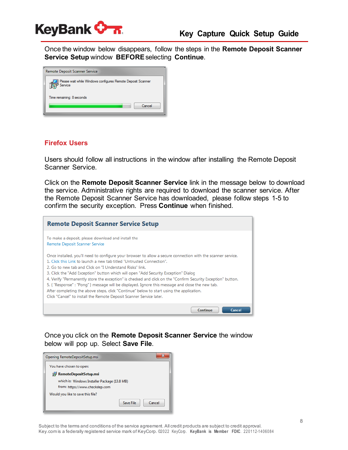

Once the window below disappears, follow the steps in the **Remote Deposit Scanner Service Setup** window **BEFORE**selecting **Continue**.

| Remote Deposit Scanner Service                                         |  |
|------------------------------------------------------------------------|--|
| Please wait while Windows configures Remote Deposit Scanner<br>Service |  |
| Time remaining: 8 seconds<br>Cancel                                    |  |
|                                                                        |  |

#### **Firefox Users**

Users should follow all instructions in the window after installing the Remote Deposit Scanner Service.

Click on the **Remote Deposit Scanner Service** link in the message below to download the service. Administrative rights are required to download the scanner service. After the Remote Deposit Scanner Service has downloaded, please follow steps 1-5 to confirm the security exception. Press **Continue** when finished.

| <b>Remote Deposit Scanner Service Setup</b>                                                                                                                                                                                                                                                                                                                                                                                                                                                                                                                                                                                                                                                                                     |
|---------------------------------------------------------------------------------------------------------------------------------------------------------------------------------------------------------------------------------------------------------------------------------------------------------------------------------------------------------------------------------------------------------------------------------------------------------------------------------------------------------------------------------------------------------------------------------------------------------------------------------------------------------------------------------------------------------------------------------|
| To make a deposit, please download and install the<br>Remote Deposit Scanner Service                                                                                                                                                                                                                                                                                                                                                                                                                                                                                                                                                                                                                                            |
| Once installed, you'll need to configure your browser to allow a secure connection with the scanner service.<br>1. Click this Link to Jaunch a new tab titled "Untrusted Connection".<br>2. Go to new tab and Click on "I Understand Risks" link.<br>3. Click the "Add Exception" button which will open "Add Security Exception" Dialog<br>4. Verify "Permanently store the exception" is checked and click on the "Confirm Security Exception" button.<br>5. { "Response" : "Pong" } message will be displayed. Ignore this message and close the new tab.<br>After completing the above steps, click "Continue" below to start using the application.<br>Click "Cancel" to install the Remote Deposit Scanner Service later. |
| Continue<br><b>Cancel</b>                                                                                                                                                                                                                                                                                                                                                                                                                                                                                                                                                                                                                                                                                                       |

Once you click on the **Remote Deposit Scanner Service** the window below will pop up. Select **Save File**.

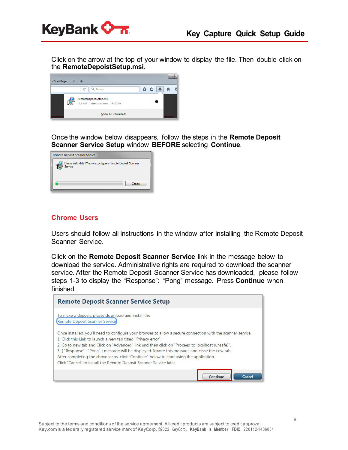

Click on the arrow at the top of your window to display the file. Then double click on the **RemoteDepoistSetup.msi**.



Once the window below disappears, follow the steps in the **Remote Deposit Scanner Service Setup** window **BEFORE** selecting **Continue**.

| Remote Deposit Scanner Service                                         |  |
|------------------------------------------------------------------------|--|
| Please wait while Windows configures Remote Deposit Scanner<br>Service |  |
| Cancel                                                                 |  |

#### **Chrome Users**

Users should follow all instructions in the window after installing the Remote Deposit Scanner Service.

Click on the **Remote Deposit Scanner Service** link in the message below to download the service. Administrative rights are required to download the scanner service. After the Remote Deposit Scanner Service has downloaded, please follow steps 1-3 to display the "Response": "Pong" message. Press **Continue** when finished.

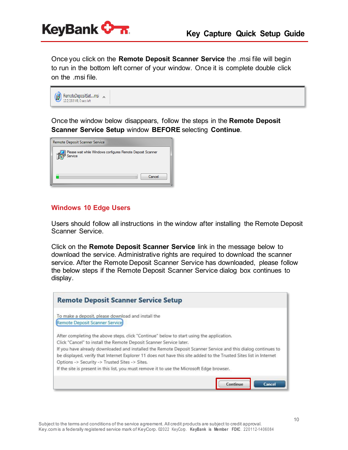

Once you click on the **Remote Deposit Scanner Service** the .msi file will begin to run in the bottom left corner of your window. Once it is complete double click on the .msi file.



Once the window below disappears, follow the steps in the **Remote Deposit Scanner Service Setup** window **BEFORE** selecting **Continue**.

| Remote Deposit Scanner Service                                         |
|------------------------------------------------------------------------|
| Please wait while Windows configures Remote Deposit Scanner<br>Service |
| Cancel                                                                 |

#### **Windows 10 Edge Users**

Users should follow all instructions in the window after installing the Remote Deposit Scanner Service.

Click on the **Remote Deposit Scanner Service** link in the message below to download the service. Administrative rights are required to download the scanner service. After the Remote Deposit Scanner Service has downloaded, please follow the below steps if the Remote Deposit Scanner Service dialog box continues to display.

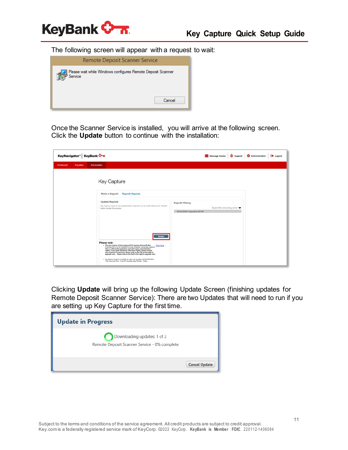

The following screen will appear with a request to wait:



Once the Scanner Service is installed, you will arrive at the following screen. Click the **Update** button to continue with the installation:

|           |          | KeyNavigator <sup>®</sup> KeyBank                                                                                                                                                                                                                                                                                                                                                                                                                                                                                                                                                                       | Message Center                                                                                    | $\circ$<br>Support | Administration | Logout |
|-----------|----------|---------------------------------------------------------------------------------------------------------------------------------------------------------------------------------------------------------------------------------------------------------------------------------------------------------------------------------------------------------------------------------------------------------------------------------------------------------------------------------------------------------------------------------------------------------------------------------------------------------|---------------------------------------------------------------------------------------------------|--------------------|----------------|--------|
| Dashboard | Payables | <b>Receivables</b>                                                                                                                                                                                                                                                                                                                                                                                                                                                                                                                                                                                      |                                                                                                   |                    |                |        |
|           |          | Key Capture                                                                                                                                                                                                                                                                                                                                                                                                                                                                                                                                                                                             |                                                                                                   |                    |                |        |
|           |          | <b>Deposit Reports</b><br>Make a Deposit                                                                                                                                                                                                                                                                                                                                                                                                                                                                                                                                                                |                                                                                                   |                    |                |        |
|           |          | <b>Updates Required</b><br>Key Capture needs to be updated before deposits can be made. Please click 'Update'<br>below to start the process.<br>العالد                                                                                                                                                                                                                                                                                                                                                                                                                                                  | <b>Deposit History</b><br>Expand filter and sorting control<br>$-04/13/2018$ 1 Deposit(s) \$67.00 |                    |                |        |
|           |          | Please note:<br>- The new version of Key Capture (9.0) requires Microsoft .Net<br>Click here<br>Framework 4.5 to be installed on any computer using Key Capture.<br>This is a Microsoft application and will require administrative<br>rights. If you need assistance with these rights, please contact<br>your internal IT resources. Please click on the link to the right to<br>upgrade now. Please click on the link to the right to upgrade now.<br>. Key Capture Support is available to assist with questions at 866-886-0848.<br>Their hours are 6 am - 9 pm ET, business days Honday - Friday. |                                                                                                   |                    |                |        |

Clicking **Update** will bring up the following Update Screen (finishing updates for Remote Deposit Scanner Service): There are two Updates that will need to run if you are setting up Key Capture for the first time.

| <b>Update in Progress</b>                                                   |                      |
|-----------------------------------------------------------------------------|----------------------|
| Downloading updates: 1 of 2<br>Remote Deposit Scanner Service - 0% complete |                      |
|                                                                             | <b>Cancel Update</b> |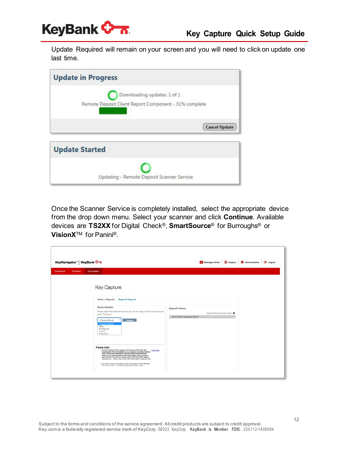

Update Required will remain on your screen and you will need to click on update one last time.

| <b>Update in Progress</b>                             |
|-------------------------------------------------------|
| Downloading updates: 1 of 1                           |
| Remote Deposit Client Report Component - 31% complete |
| <b>Cancel Update</b>                                  |
| <b>Update Started</b>                                 |
|                                                       |
| Updating - Remote Deposit Scanner Service             |

Once the Scanner Service is completely installed, select the appropriate device from the drop down menu. Select your scanner and click **Continue**. Available devices are **TS2XX** for Digital Check®, **SmartSource**® for Burroughs® or **VisionX**TM for Panini®.

|                       | KeyNavigator® KeyBank                                                                                                                                                                                                                                                                                                                                                           | Message Center                                               | C Support                         | Administration | <b>Logout</b> |
|-----------------------|---------------------------------------------------------------------------------------------------------------------------------------------------------------------------------------------------------------------------------------------------------------------------------------------------------------------------------------------------------------------------------|--------------------------------------------------------------|-----------------------------------|----------------|---------------|
| Dashboard<br>Payables | <b>Receivables</b>                                                                                                                                                                                                                                                                                                                                                              |                                                              |                                   |                |               |
|                       | Key Capture                                                                                                                                                                                                                                                                                                                                                                     |                                                              |                                   |                |               |
|                       | <b>Deposit Reports</b><br>Make a Deposit                                                                                                                                                                                                                                                                                                                                        |                                                              |                                   |                |               |
|                       | <b>Device Selection</b><br>Please select the brand of scanner you will be using on this computer and<br>click "Continue"                                                                                                                                                                                                                                                        | <b>Deposit History</b><br>$-04/13/2018$ 1 Deposit(s) \$67.00 | Expand filter and sorting control |                |               |
|                       | Continue<br>«Choose a Device»<br>«Choose a Device»<br>TS2xx<br>SmartSource<br>VisionX<br>FlatbedOnly                                                                                                                                                                                                                                                                            |                                                              |                                   |                |               |
|                       | Please note:<br>- The new version of Key Capture (9.0) requires Microsoft .Net<br>Click here<br>Framework 4.5 to be installed on any computer using Key Capture.<br>This is a Microsoft application and will require administrative<br>rights. If you need assistance with these rights, please contact<br>your internal IT resources. Please click on the link to the right to |                                                              |                                   |                |               |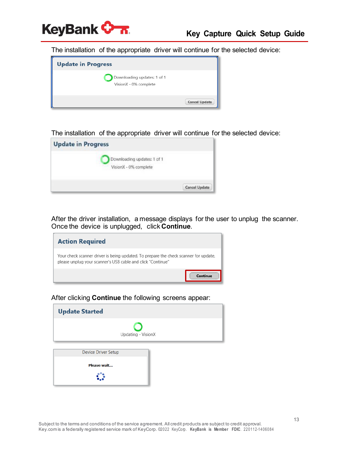

The installation of the appropriate driver will continue for the selected device:



The installation of the appropriate driver will continue for the selected device:



After the driver installation, a message displays for the user to unplug the scanner. Once the device is unplugged, click **Continue**.



After clicking **Continue** the following screens appear:

| <b>Update Started</b>      |  |
|----------------------------|--|
| Updating - VisionX         |  |
| <b>Device Driver Setup</b> |  |
| Please wait                |  |
|                            |  |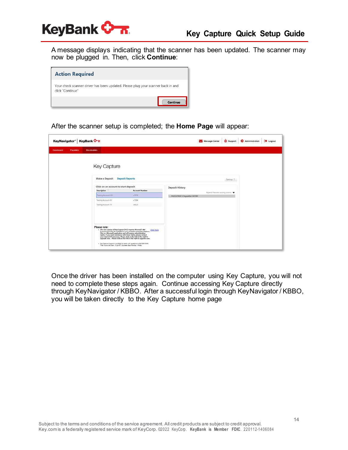

A message displays indicating that the scanner has been updated. The scanner may now be plugged in. Then, click **Continue**:

| <b>Action Required</b>                                                                               |  |
|------------------------------------------------------------------------------------------------------|--|
| Your check scanner driver has been updated. Please plug your scanner back in and<br>click "Continue" |  |
|                                                                                                      |  |

After the scanner setup is completed; the **Home Page** will appear:

| KeyBank <b>V</b><br>KeyNavigator® |                                                                                                                                                                                                                                                                                                       |                                                                                                                                                                                                                              |                                    | <b>Logout</b><br>Message Center<br>C Support<br>Administration |  |  |
|-----------------------------------|-------------------------------------------------------------------------------------------------------------------------------------------------------------------------------------------------------------------------------------------------------------------------------------------------------|------------------------------------------------------------------------------------------------------------------------------------------------------------------------------------------------------------------------------|------------------------------------|----------------------------------------------------------------|--|--|
| Dashboard<br>Payables             | <b>Receivables</b>                                                                                                                                                                                                                                                                                    |                                                                                                                                                                                                                              |                                    |                                                                |  |  |
|                                   | <b>Key Capture</b><br>Make a Deposit                                                                                                                                                                                                                                                                  | <b>Deposit Reports</b>                                                                                                                                                                                                       |                                    | Settings 2                                                     |  |  |
|                                   | Click on an account to start deposit                                                                                                                                                                                                                                                                  |                                                                                                                                                                                                                              |                                    |                                                                |  |  |
|                                   | Description                                                                                                                                                                                                                                                                                           | <b>Account Number</b>                                                                                                                                                                                                        | <b>Deposit History</b>             | Expand filter and sorting control .                            |  |  |
|                                   | Testing Account-OH                                                                                                                                                                                                                                                                                    | x7876                                                                                                                                                                                                                        | $-04/13/2018$ 1 Deposit(s) \$67.00 |                                                                |  |  |
|                                   | Testing Account-NY                                                                                                                                                                                                                                                                                    | x7884                                                                                                                                                                                                                        |                                    |                                                                |  |  |
|                                   | Testing Account-TX                                                                                                                                                                                                                                                                                    | n4615                                                                                                                                                                                                                        |                                    |                                                                |  |  |
|                                   | Please note:<br>- The new version of Key Capture (9.0) requires Microsoft Jtet<br>This is a Microsoft application and will require administrative<br>rights. If you need assistance with these rights, please contact<br>. Key Capture Support is available to assist with questions at 566-856-0648. | Click here<br>Framework 4.5 to be installed on any computer using Key Capture.<br>your internal IT resources. Please click on the link to the right to<br>upgrade now. Please click on the link to the right to upgrade now. |                                    |                                                                |  |  |

Once the driver has been installed on the computer using Key Capture, you will not need to complete these steps again. Continue accessing Key Capture directly through KeyNavigator / KBBO. After a successful login through KeyNavigator / KBBO, you will be taken directly to the Key Capture home page